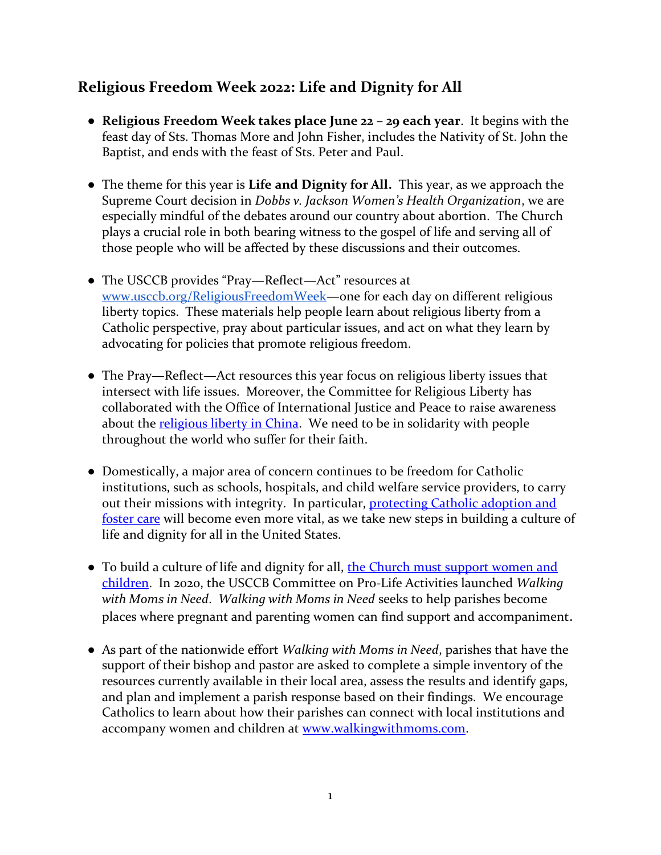## **Religious Freedom Week 2022: Life and Dignity for All**

- **Religious Freedom Week takes place June 22 – 29 each year**. It begins with the feast day of Sts. Thomas More and John Fisher, includes the Nativity of St. John the Baptist, and ends with the feast of Sts. Peter and Paul.
- The theme for this year is **Life and Dignity for All.** This year, as we approach the Supreme Court decision in *Dobbs v. Jackson Women's Health Organization*, we are especially mindful of the debates around our country about abortion. The Church plays a crucial role in both bearing witness to the gospel of life and serving all of those people who will be affected by these discussions and their outcomes.
- The USCCB provides "Pray—Reflect—Act" resources at [www.usccb.org/ReligiousFreedomWeek](http://www.usccb.org/ReligiousFreedomWeek)—one for each day on different religious liberty topics. These materials help people learn about religious liberty from a Catholic perspective, pray about particular issues, and act on what they learn by advocating for policies that promote religious freedom.
- The Pray—Reflect—Act resources this year focus on religious liberty issues that intersect with life issues. Moreover, the Committee for Religious Liberty has collaborated with the Office of International Justice and Peace to raise awareness about the [religious liberty in China.](https://www.usccb.org/ReligiousFreedomWeek-June_26_2022_China) We need to be in solidarity with people throughout the world who suffer for their faith.
- Domestically, a major area of concern continues to be freedom for Catholic institutions, such as schools, hospitals, and child welfare service providers, to carry out their missions with integrity. In particular, [protecting Catholic adoption and](https://www.usccb.org/ReligiousFreedomWeek-June_24_2022_Adoption_Foster_Care)  [foster care](https://www.usccb.org/ReligiousFreedomWeek-June_24_2022_Adoption_Foster_Care) will become even more vital, as we take new steps in building a culture of life and dignity for all in the United States.
- To build a culture of life and dignity for all, the Church must support women and [children.](https://www.usccb.org/ReligiousFreedomWeek-June_22_2022_Walking_with_Moms_in_Need) In 2020, the USCCB Committee on Pro-Life Activities launched *Walking with Moms in Need*. *Walking with Moms in Need* seeks to help parishes become places where pregnant and parenting women can find support and accompaniment.
- As part of the nationwide effort *Walking with Moms in Need*, parishes that have the support of their bishop and pastor are asked to complete a simple inventory of the resources currently available in their local area, assess the results and identify gaps, and plan and implement a parish response based on their findings. We encourage Catholics to learn about how their parishes can connect with local institutions and accompany women and children at [www.walkingwithmoms.com.](http://www.walkingwithmoms.com/)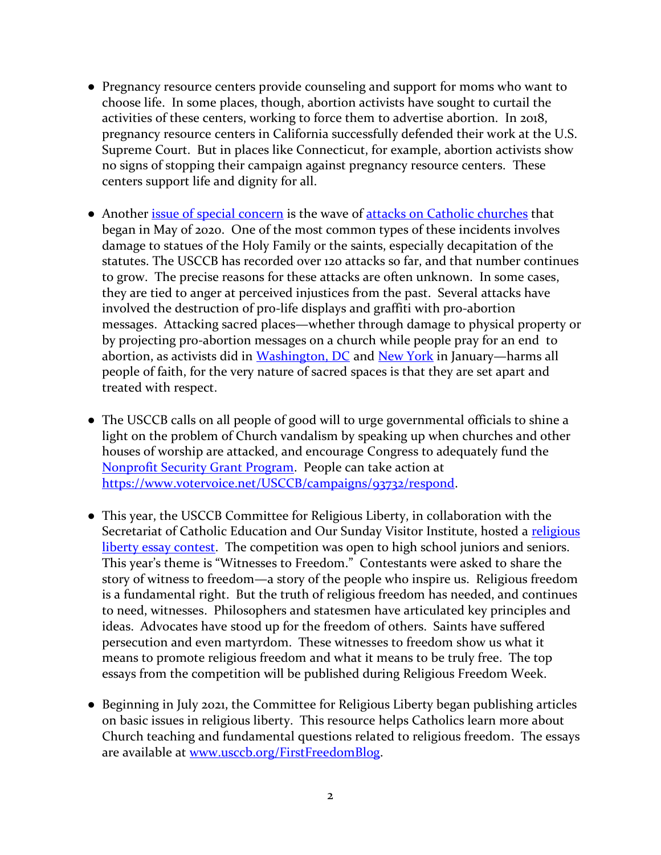- Pregnancy resource centers provide counseling and support for moms who want to choose life. In some places, though, abortion activists have sought to curtail the activities of these centers, working to force them to advertise abortion. In 2018, pregnancy resource centers in California successfully defended their work at the U.S. Supreme Court. But in places like Connecticut, for example, abortion activists show no signs of stopping their campaign against pregnancy resource centers. These centers support life and dignity for all.
- Another [issue of special concern](https://www.usccb.org/ReligiousFreedomWeek-June_23_2022_Church_Vandalism) is the wave of [attacks on Catholic churches](https://www.usccb.org/committees/religious-liberty/Backgrounder-Attacks-on-Catholic-Churches-in-US) that began in May of 2020. One of the most common types of these incidents involves damage to statues of the Holy Family or the saints, especially decapitation of the statutes. The USCCB has recorded over 120 attacks so far, and that number continues to grow. The precise reasons for these attacks are often unknown. In some cases, they are tied to anger at perceived injustices from the past. Several attacks have involved the destruction of pro-life displays and graffiti with pro-abortion messages. Attacking sacred places—whether through damage to physical property or by projecting pro-abortion messages on a church while people pray for an end to abortion, as activists did in [Washington, DC](https://www.catholicnewsagency.com/news/250177/basilica-display-reactions-update) and [New York](https://www.catholicnewsagency.com/news/250199/nyc-pro-abortion-rally-st-patricks-cathedral) in January—harms all people of faith, for the very nature of sacred spaces is that they are set apart and treated with respect.
- The USCCB calls on all people of good will to urge governmental officials to shine a light on the problem of Church vandalism by speaking up when churches and other houses of worship are attacked, and encourage Congress to adequately fund the [Nonprofit Security Grant Program.](https://www.usccb.org/resources/NSGP-Backgrounder.pdf) People can take action at [https://www.votervoice.net/USCCB/campaigns/93732/respond.](https://www.votervoice.net/USCCB/campaigns/93732/respond)
- This year, the USCCB Committee for Religious Liberty, in collaboration with the Secretariat of Catholic Education and Our Sunday Visitor Institute, hosted a religious [liberty essay contest.](https://www.usccb.org/religious-liberty-essay) The competition was open to high school juniors and seniors. This year's theme is "Witnesses to Freedom." Contestants were asked to share the story of witness to freedom—a story of the people who inspire us. Religious freedom is a fundamental right. But the truth of religious freedom has needed, and continues to need, witnesses. Philosophers and statesmen have articulated key principles and ideas. Advocates have stood up for the freedom of others. Saints have suffered persecution and even martyrdom. These witnesses to freedom show us what it means to promote religious freedom and what it means to be truly free. The top essays from the competition will be published during Religious Freedom Week.
- Beginning in July 2021, the Committee for Religious Liberty began publishing articles on basic issues in religious liberty. This resource helps Catholics learn more about Church teaching and fundamental questions related to religious freedom. The essays are available at [www.usccb.org/FirstFreedomBlog.](http://www.usccb.org/FirstFreedomBlog)